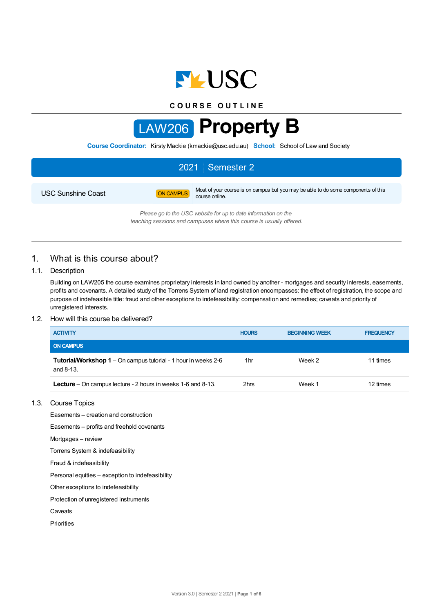

**C O U R S E O U T L I N E**



**Course Coordinator:** Kirsty Mackie (kmackie@usc.edu.au) **School:** School of Law and Society

# 2021 Semester 2 USC Sunshine Coast **ON CAMPUS** Most of your course is on campus but you may be able to do some components of this course online.

*Please go to the USC website for up to date information on the teaching sessions and campuses where this course is usually offered.*

# 1. What is this course about?

### 1.1. Description

Building on LAW205 the course examines proprietary interests in land owned by another - mortgages and security interests, easements, profits and covenants. A detailed study of the Torrens System of land registration encompasses: the effect of registration, the scope and purpose of indefeasible title: fraud and other exceptions to indefeasibility: compensation and remedies; caveats and priority of unregistered interests.

### 1.2. How will this course be delivered?

| <b>ACTIVITY</b>                                                                | <b>HOURS</b> | <b>BEGINNING WEEK</b> | <b>FREQUENCY</b> |
|--------------------------------------------------------------------------------|--------------|-----------------------|------------------|
| <b>ON CAMPUS</b>                                                               |              |                       |                  |
| Tutorial/Workshop 1 – On campus tutorial - 1 hour in weeks 2-6<br>and $8-13$ . | 1hr          | Week 2                | 11 times         |
| <b>Lecture</b> – On campus lecture - 2 hours in weeks 1-6 and 8-13.            | 2hrs         | Week 1                | 12 times         |

### 1.3. Course Topics

Easements – creation and construction

Easements – profits and freehold covenants

Mortgages – review

Torrens System & indefeasibility

Fraud & indefeasibility

Personal equities – exception to indefeasibility

Other exceptions to indefeasibility

Protection of unregistered instruments

Caveats

Priorities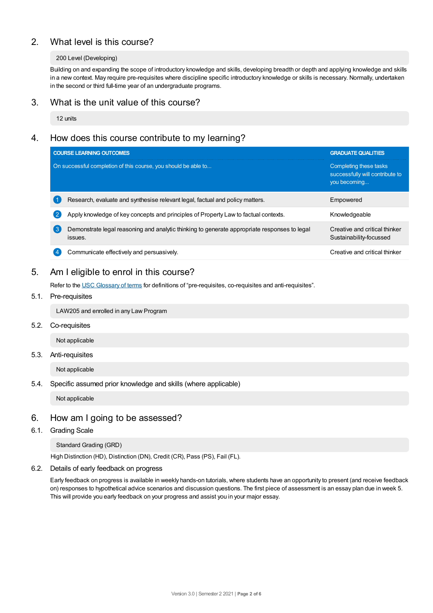# 2. What level is this course?

### 200 Level (Developing)

Building on and expanding the scope of introductory knowledge and skills, developing breadth or depth and applying knowledge and skills in a new context. May require pre-requisites where discipline specific introductory knowledge or skills is necessary. Normally, undertaken in the second or third full-time year of an undergraduate programs.

### 3. What is the unit value of this course?

12 units

# 4. How does this course contribute to my learning?

|                   | <b>COURSE LEARNING OUTCOMES</b>                                                                         | <b>GRADUATE QUALITIES</b>                                                 |
|-------------------|---------------------------------------------------------------------------------------------------------|---------------------------------------------------------------------------|
|                   | On successful completion of this course, you should be able to                                          | Completing these tasks<br>successfully will contribute to<br>you becoming |
|                   | Research, evaluate and synthesise relevant legal, factual and policy matters.                           | Empowered                                                                 |
| $\left( 2\right)$ | Apply knowledge of key concepts and principles of Property Law to factual contexts.                     | Knowledgeable                                                             |
| (ვ                | Demonstrate legal reasoning and analytic thinking to generate appropriate responses to legal<br>issues. | Creative and critical thinker<br>Sustainability-focussed                  |
|                   | Communicate effectively and persuasively.                                                               | Creative and critical thinker                                             |

# 5. Am Ieligible to enrol in this course?

Refer to the USC [Glossary](https://www.usc.edu.au/about/policies-and-procedures/glossary-of-terms-for-policy-and-procedures) of terms for definitions of "pre-requisites, co-requisites and anti-requisites".

### 5.1. Pre-requisites

LAW205 and enrolled in any Law Program

5.2. Co-requisites

Not applicable

### 5.3. Anti-requisites

Not applicable

5.4. Specific assumed prior knowledge and skills (where applicable)

Not applicable

### 6. How am Igoing to be assessed?

6.1. Grading Scale

Standard Grading (GRD)

High Distinction (HD), Distinction (DN), Credit (CR), Pass (PS), Fail (FL).

6.2. Details of early feedback on progress

Early feedback on progress is available in weekly hands-on tutorials, where students have an opportunity to present (and receive feedback on) responses to hypothetical advice scenarios and discussion questions. The first piece of assessment is an essay plan due in week 5. This will provide you early feedback on your progress and assist you in your major essay.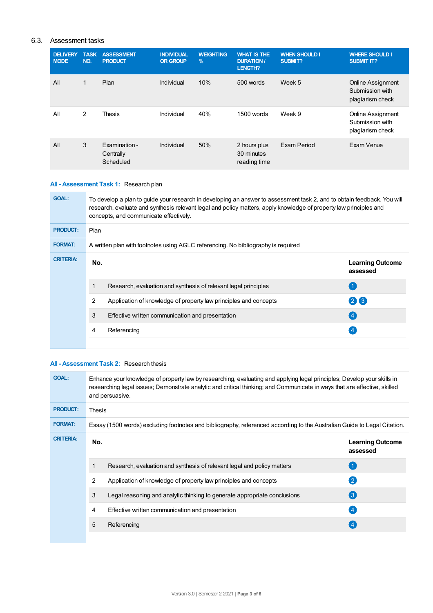### 6.3. Assessment tasks

| <b>DELIVERY</b><br><b>MODE</b> | <b>TASK</b><br>NO. | <b>ASSESSMENT</b><br><b>PRODUCT</b>     | <b>INDIVIDUAL</b><br><b>OR GROUP</b> | <b>WEIGHTING</b><br>$\frac{9}{6}$ | <b>WHAT IS THE</b><br><b>DURATION /</b><br><b>LENGTH?</b> | <b>WHEN SHOULD I</b><br><b>SUBMIT?</b> | <b>WHERE SHOULD I</b><br><b>SUBMIT IT?</b>                      |
|--------------------------------|--------------------|-----------------------------------------|--------------------------------------|-----------------------------------|-----------------------------------------------------------|----------------------------------------|-----------------------------------------------------------------|
| All                            | 1                  | Plan                                    | Individual                           | 10%                               | 500 words                                                 | Week 5                                 | <b>Online Assignment</b><br>Submission with<br>plagiarism check |
| All                            | 2                  | Thesis                                  | Individual                           | 40%                               | 1500 words                                                | Week 9                                 | Online Assignment<br>Submission with<br>plagiarism check        |
| All                            | 3                  | Examination -<br>Centrally<br>Scheduled | Individual                           | 50%                               | 2 hours plus<br>30 minutes<br>reading time                | Exam Period                            | Exam Venue                                                      |

# **All - Assessment Task 1:** Research plan

| <b>GOAL:</b>     | To develop a plan to guide your research in developing an answer to assessment task 2, and to obtain feedback. You will<br>research, evaluate and synthesis relevant legal and policy matters, apply knowledge of property law principles and<br>concepts, and communicate effectively. |                                                                  |                                     |  |  |
|------------------|-----------------------------------------------------------------------------------------------------------------------------------------------------------------------------------------------------------------------------------------------------------------------------------------|------------------------------------------------------------------|-------------------------------------|--|--|
| <b>PRODUCT:</b>  | Plan                                                                                                                                                                                                                                                                                    |                                                                  |                                     |  |  |
| <b>FORMAT:</b>   | A written plan with footnotes using AGLC referencing. No bibliography is required                                                                                                                                                                                                       |                                                                  |                                     |  |  |
| <b>CRITERIA:</b> | No.                                                                                                                                                                                                                                                                                     |                                                                  | <b>Learning Outcome</b><br>assessed |  |  |
|                  |                                                                                                                                                                                                                                                                                         | Research, evaluation and synthesis of relevant legal principles  |                                     |  |  |
|                  | 2                                                                                                                                                                                                                                                                                       | Application of knowledge of property law principles and concepts | 2X3                                 |  |  |
|                  | 3                                                                                                                                                                                                                                                                                       | Effective written communication and presentation                 | (4)                                 |  |  |
|                  | 4                                                                                                                                                                                                                                                                                       | Referencing                                                      |                                     |  |  |
|                  |                                                                                                                                                                                                                                                                                         |                                                                  |                                     |  |  |

### **All - Assessment Task 2:** Research thesis

| <b>GOAL:</b>     | Enhance your knowledge of property law by researching, evaluating and applying legal principles; Develop your skills in<br>researching legal issues; Demonstrate analytic and critical thinking; and Communicate in ways that are effective, skilled<br>and persuasive. |                                                                                                                          |                                     |  |  |
|------------------|-------------------------------------------------------------------------------------------------------------------------------------------------------------------------------------------------------------------------------------------------------------------------|--------------------------------------------------------------------------------------------------------------------------|-------------------------------------|--|--|
| <b>PRODUCT:</b>  | Thesis                                                                                                                                                                                                                                                                  |                                                                                                                          |                                     |  |  |
| <b>FORMAT:</b>   |                                                                                                                                                                                                                                                                         | Essay (1500 words) excluding footnotes and bibliography, referenced according to the Australian Guide to Legal Citation. |                                     |  |  |
| <b>CRITERIA:</b> | No.                                                                                                                                                                                                                                                                     |                                                                                                                          | <b>Learning Outcome</b><br>assessed |  |  |
|                  |                                                                                                                                                                                                                                                                         | Research, evaluation and synthesis of relevant legal and policy matters                                                  |                                     |  |  |
|                  | 2                                                                                                                                                                                                                                                                       | Application of knowledge of property law principles and concepts                                                         | $\left( 2\right)$                   |  |  |
|                  | 3                                                                                                                                                                                                                                                                       | Legal reasoning and analytic thinking to generate appropriate conclusions                                                | 3                                   |  |  |
|                  | 4                                                                                                                                                                                                                                                                       | Effective written communication and presentation                                                                         | (4)                                 |  |  |
|                  | 5                                                                                                                                                                                                                                                                       | Referencing                                                                                                              | (4                                  |  |  |
|                  |                                                                                                                                                                                                                                                                         |                                                                                                                          |                                     |  |  |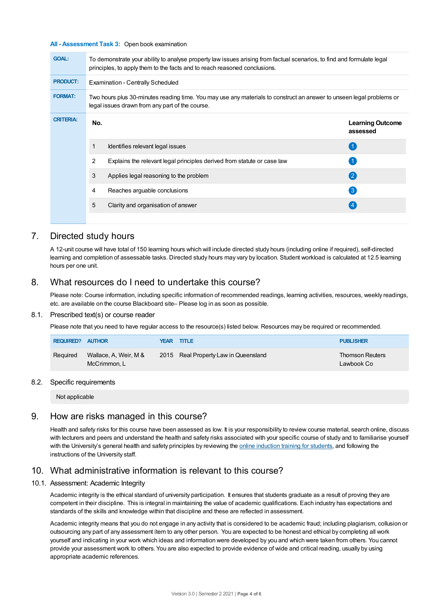#### **All - Assessment Task 3:** Open book examination

| <b>GOAL:</b>     | To demonstrate your ability to analyse property law issues arising from factual scenarios, to find and formulate legal<br>principles, to apply them to the facts and to reach reasoned conclusions. |                                                                                                                                                                         |                                     |  |  |  |  |
|------------------|-----------------------------------------------------------------------------------------------------------------------------------------------------------------------------------------------------|-------------------------------------------------------------------------------------------------------------------------------------------------------------------------|-------------------------------------|--|--|--|--|
| <b>PRODUCT:</b>  |                                                                                                                                                                                                     | <b>Examination - Centrally Scheduled</b>                                                                                                                                |                                     |  |  |  |  |
| <b>FORMAT:</b>   |                                                                                                                                                                                                     | Two hours plus 30-minutes reading time. You may use any materials to construct an answer to unseen legal problems or<br>legal issues drawn from any part of the course. |                                     |  |  |  |  |
| <b>CRITERIA:</b> | No.                                                                                                                                                                                                 |                                                                                                                                                                         | <b>Learning Outcome</b><br>assessed |  |  |  |  |
|                  | 1                                                                                                                                                                                                   | Identifies relevant legal issues                                                                                                                                        |                                     |  |  |  |  |
|                  | 2                                                                                                                                                                                                   | Explains the relevant legal principles derived from statute or case law                                                                                                 |                                     |  |  |  |  |
|                  | 3                                                                                                                                                                                                   | Applies legal reasoning to the problem                                                                                                                                  | 2                                   |  |  |  |  |
|                  | 4                                                                                                                                                                                                   | Reaches arguable conclusions                                                                                                                                            | $\left(3\right)$                    |  |  |  |  |
|                  | 5                                                                                                                                                                                                   | Clarity and organisation of answer                                                                                                                                      | $\left 4\right $                    |  |  |  |  |
|                  |                                                                                                                                                                                                     |                                                                                                                                                                         |                                     |  |  |  |  |

# 7. Directed study hours

A 12-unit course will have total of 150 learning hours which will include directed study hours (including online if required), self-directed learning and completion of assessable tasks. Directed study hours may vary by location. Student workload is calculated at 12.5 learning hours per one unit.

## 8. What resources do I need to undertake this course?

Please note: Course information, including specific information of recommended readings, learning activities, resources, weekly readings, etc. are available on the course Blackboard site– Please log in as soon as possible.

### 8.1. Prescribed text(s) or course reader

Please note that you need to have regular access to the resource(s) listed below. Resources may be required or recommended.

| REQUIRED? AUTHOR |                                       | <b>YEAR TITLE</b>                    | <b>PUBLISHER</b>                     |
|------------------|---------------------------------------|--------------------------------------|--------------------------------------|
| Reguired         | Wallace, A, Weir, M &<br>McCrimmon, L | 2015 Real Property Law in Queensland | <b>Thomson Reuters</b><br>Lawbook Co |

### 8.2. Specific requirements

Not applicable

### 9. How are risks managed in this course?

Health and safety risks for this course have been assessed as low. It is your responsibility to review course material, search online, discuss with lecturers and peers and understand the health and safety risks associated with your specific course of study and to familiarise yourself with the University's general health and safety principles by reviewing the online [induction](https://online.usc.edu.au/webapps/blackboard/content/listContentEditable.jsp?content_id=_632657_1&course_id=_14432_1) training for students, and following the instructions of the University staff.

# 10. What administrative information is relevant to this course?

### 10.1. Assessment: Academic Integrity

Academic integrity is the ethical standard of university participation. It ensures that students graduate as a result of proving they are competent in their discipline. This is integral in maintaining the value of academic qualifications. Each industry has expectations and standards of the skills and knowledge within that discipline and these are reflected in assessment.

Academic integrity means that you do not engage in any activity that is considered to be academic fraud; including plagiarism, collusion or outsourcing any part of any assessment item to any other person. You are expected to be honest and ethical by completing all work yourself and indicating in your work which ideas and information were developed by you and which were taken from others. You cannot provide your assessment work to others.You are also expected to provide evidence of wide and critical reading, usually by using appropriate academic references.